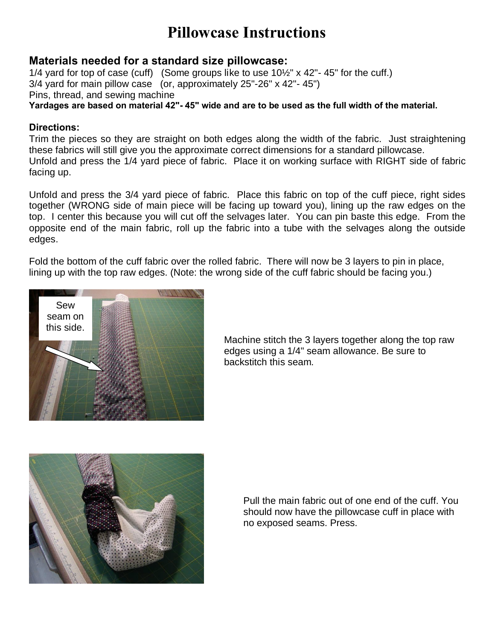## **Pillowcase Instructions**

### **Materials needed for a standard size pillowcase:**

1/4 yard for top of case (cuff) (Some groups like to use  $10\frac{1}{2}$ " x 42"-45" for the cuff.) 3/4 yard for main pillow case (or, approximately 25"-26" x 42"- 45") Pins, thread, and sewing machine **Yardages are based on material 42"- 45" wide and are to be used as the full width of the material.**

#### **Directions:**

Trim the pieces so they are straight on both edges along the width of the fabric. Just straightening these fabrics will still give you the approximate correct dimensions for a standard pillowcase. Unfold and press the 1/4 yard piece of fabric. Place it on working surface with RIGHT side of fabric facing up.

Unfold and press the 3/4 yard piece of fabric. Place this fabric on top of the cuff piece, right sides together (WRONG side of main piece will be facing up toward you), lining up the raw edges on the top. I center this because you will cut off the selvages later. You can pin baste this edge. From the opposite end of the main fabric, roll up the fabric into a tube with the selvages along the outside edges.

Fold the bottom of the cuff fabric over the rolled fabric. There will now be 3 layers to pin in place, lining up with the top raw edges. (Note: the wrong side of the cuff fabric should be facing you.)



Machine stitch the 3 layers together along the top raw edges using a 1/4" seam allowance. Be sure to backstitch this seam.



Pull the main fabric out of one end of the cuff. You should now have the pillowcase cuff in place with no exposed seams. Press.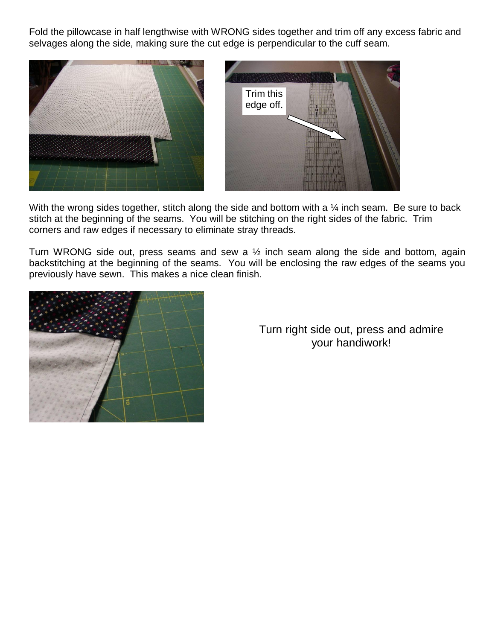Fold the pillowcase in half lengthwise with WRONG sides together and trim off any excess fabric and selvages along the side, making sure the cut edge is perpendicular to the cuff seam.



With the wrong sides together, stitch along the side and bottom with a  $\frac{1}{4}$  inch seam. Be sure to back stitch at the beginning of the seams. You will be stitching on the right sides of the fabric. Trim corners and raw edges if necessary to eliminate stray threads.

Turn WRONG side out, press seams and sew a  $\frac{1}{2}$  inch seam along the side and bottom, again backstitching at the beginning of the seams. You will be enclosing the raw edges of the seams you previously have sewn. This makes a nice clean finish.



Turn right side out, press and admire your handiwork!